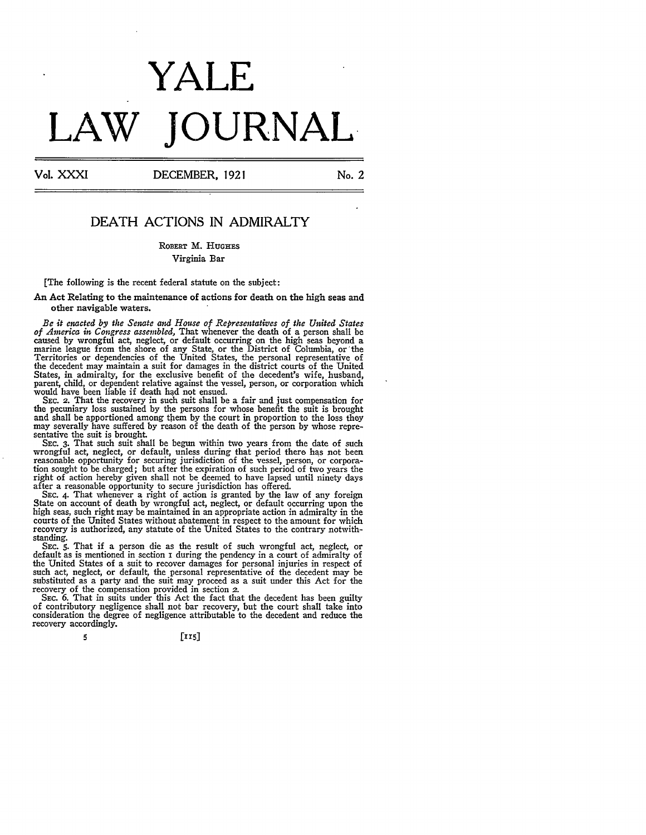## **YALE LAW JOURNAL**

Vol. XXXI DECEMBER, 1921 No. 2

## **DEATH ACTIONS IN** ADMIRALTY

RoBERT M. **HUGHES** Virginia Bar

[The following is the recent federal statute on the subject:

An Act Relating to the maintenance of actions for death on the high seas and other navigable waters.

*Be it enacted by the Senate and House of Representatives of the United States of A-imerica in Congress assembled,* That whenever the death of a person shall be caused by wrongful act, neglect, or default occurring on the high seas beyond a marine league from the shore of any State, or the District of Columbia, or the Territories or dependencies of the United States, the personal States, in admiralty, for the exclusive benefit of the decedent's wife, husband, parent, child, or dependent relative against the vessel, person, or corporation which would have been liable if death **had** not ensued.

**SEC.** 2. That the recovery in such suit shall be a fair and just compensation for the pecuniary loss sustained by the persons for whose benefit the suit is brought and shall be apportioned among them by the court in proportion to the loss they may severally have suffered by reason of the death of the person by whose representative the suit is brought.<br>Sec. 3. That such suit shall be begun within two years from the date of such

wrongful act, neglect, or default, unless during that period there has not been<br>reasonable opportunity for securing jurisdiction of the vessel, person, or corpora-<br>tion sought to be charged; but after the expiration of suc right of action hereby given shall not be deemed to have lapsed until ninety days after a reasonable opportunity to secure jurisdiction has offered.

SEC. 4. That whenever a right of action is granted by the law of any foreign State on account of death by wrongful act, neglect, or default occurring upon the high seas, such right may be maintained in an appropriate action in admiralty in the courts of the United States without abatement in respect to the amount for which recovery is authorized, any statute of the United States to the contrary notwith-

standing. SEC. 5. That if a person die as the result of such wrongful act, neglect, or default as is mentioned in section i during the pendency in a court of admiralty of the United States of a suit to recover damages for personal injuries in respect of such act, neglect, or default, the personal representative of the decedent may be substituted as a party and the suit may proceed as a suit under this Act for the recovery of the compensation provided in section 2.

SEC. *6.* That in suits under this Act the fact that the decedent has been guilty of contributory negligence shall not bar recovery, but the court shall take into consideration the degree of negligence attributable to the decedent and reduce the recovery accordingly.

**5 [ii5]**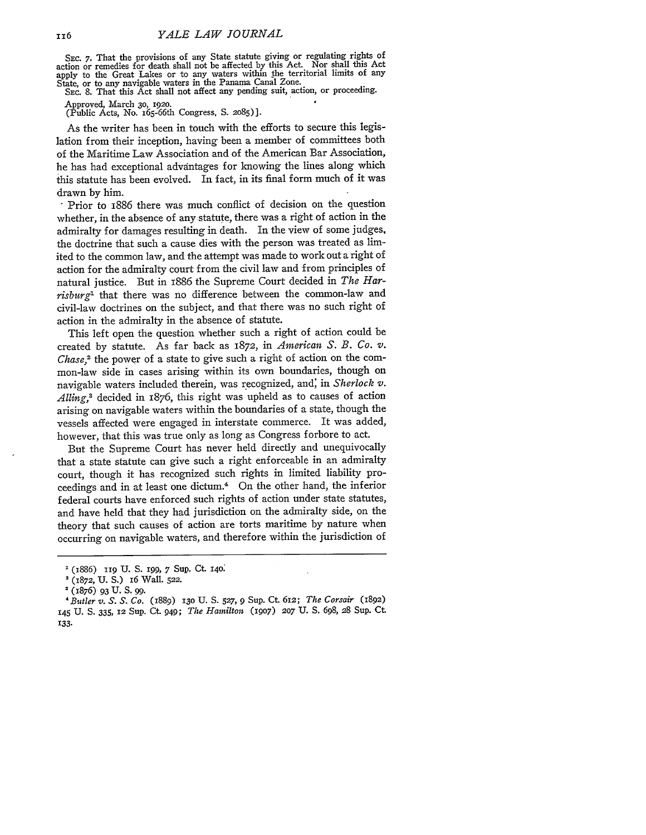SEC. 7. That the provisions of any State statute giving or regulating rights of action or remedies for death shall not be affected by this Act. Nor shall this Act. apply to the Great Lakes or to any waters within the territorial limits of any State, or to any navigable waters in the Panama Canal Zone.

SEC. 8. That this Act shall not affect any pending suit, action, or proceeding.

Approved, March **30, 1920.**

(Public Acts, No. 165-66th Congress. S. **2085)].**

As the writer has been in touch with the efforts to secure this legislation from their inception, having been a member of committees both of the Maritime Law Association and of the American Bar Association, he has had exceptional advantages for knowing the lines along which this statute has been evolved. In fact, in its final form much of it was drawn by him.

• Prior to I886 there was much conflict of decision on the question whether, in the absence of any statute, there was a right of action in the admiralty for damages resulting in death. In the view of some judges, the doctrine that such a cause dies with the person was treated as limited to the common law, and the attempt was made to work out a right of action for the admiralty court from the civil law and from principles of natural justice. But in I886 the Supreme Court decided in *The Harrisburg1* that there was no difference between the common-law and civil-law doctrines on the subject, and that there was no such right of action in the admiralty in the absence of statute.

This left open the question whether such a right of action could be created by statute. As far back as 1872, in *American S. B. Co. v. Chase,2* the power of a state to give such a right of action on the common-law side in cases arising within its own boundaries, though on navigable waters included therein, was recognized, and; in *Sherlock v. Alling,3* decided in 1876, this right was upheld as to causes of action arising on navigable waters within the boundaries of a state, though the vessels affected were engaged in interstate commerce. It was added, however, that this was true only as long as Congress forbore to act.

But the Supreme Court has never held directly and unequivocally that a state statute can give such a right enforceable in an admiralty court, though it has recognized such rights in limited liability proceedings and in at least one dictum.' On the other hand, the inferior federal courts have enforced such rights of action under state statutes, and have held that they had jurisdiction on the admiralty side, on the theory that such causes of action are torts maritime by nature when occurring on navigable waters, and therefore within the jurisdiction of

<sup>(1886) 119</sup> U. S. 199, 7 Sup. Ct. **140.**

**<sup>(1872,</sup>** U. S.) 16 Wall. **522.**

<sup>(1876) 93</sup> **U. S.** *99.*

*<sup>&#</sup>x27;Butler v. S. S. Co.* (1889) 13o U. S. **527,** 9 Sup. Ct 612; *The Corsair* (1892) 145 U. **S.** 335, 12 Sup. Ct 949; *The Hamilton* **(907)** 2o7 U. **S.** 698, 28 Sup. Ct 133.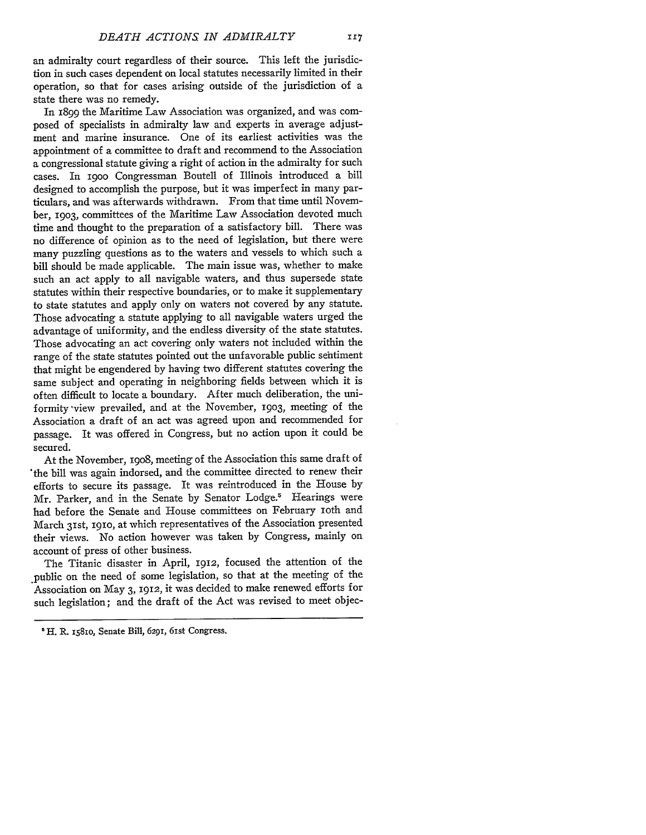$II7$ 

an admiralty court regardless of their source. This left the jurisdiction in such cases dependent on local statutes necessarily limited in their operation, so that for cases arising outside of the jurisdiction of a state there was no remedy.

In 1899 the Maritime Law Association was organized, and was composed of specialists in admiralty law and experts in average adjustment and marine insurance. One of its earliest activities was the appointment of a committee to draft and recommend to the Association a congressional statute giving a right of action in the admiralty for such cases. In **19oo** Congressman Boutell of Illinois introduced a bill designed to accomplish the purpose, but it was imperfect in many particulars, and was afterwards withdrawn. From that time until November, 1903, committees of the Maritime Law Association devoted much time and thought to the preparation of a satisfactory bill. There was no difference of opinion as to the need of legislation, but there were many puzzling questions as to the waters and vessels to which such a bill should be made applicable. The main issue was, whether to make such an act apply to all navigable waters, and thus supersede state statutes within their respective boundaries, or to make it supplementary to state statutes and apply only on waters not covered by any statute. Those advocating a statute applying to all navigable waters urged the advantage of uniformity, and the endless diversity of the state statutes. Those advocating an act covering only waters not included within the range of the state statutes pointed out the unfavorable public sehtiment that might be engendered by having two different statutes covering the same subject and operating in neighboring fields between which it is often difficult to locate a boundary. After much deliberation, the uniformity 'view prevailed, and at the November, **1903,** meeting of the Association a draft of an act was agreed upon and recommended for passage. It was offered in Congress, but no action upon it could be secured.

At the November, 19o8, meeting of the Association this same draft of \*the bill was again indorsed, and the committee directed to renew their efforts to secure its passage. It was reintroduced in the House by Mr. Parker, and in the Senate by Senator Lodge.<sup>5</sup> Hearings were had before the Senate and House committees on February ioth and March 3 Ist, **191o,** at which representatives of the Association presented their views. No action however was taken by Congress, mainly on account of press of other business.

The Titanic disaster in April, 1912, focused the attention of the .public on the need of some legislation, so that at the meeting of the Association on May 3, 1912, it was decided to make renewed efforts for such legislation; and the draft of the Act was revised to meet objec-

<sup>&</sup>lt;sup>6</sup> H. R. 15810, Senate Bill, 6291, 61st Congress.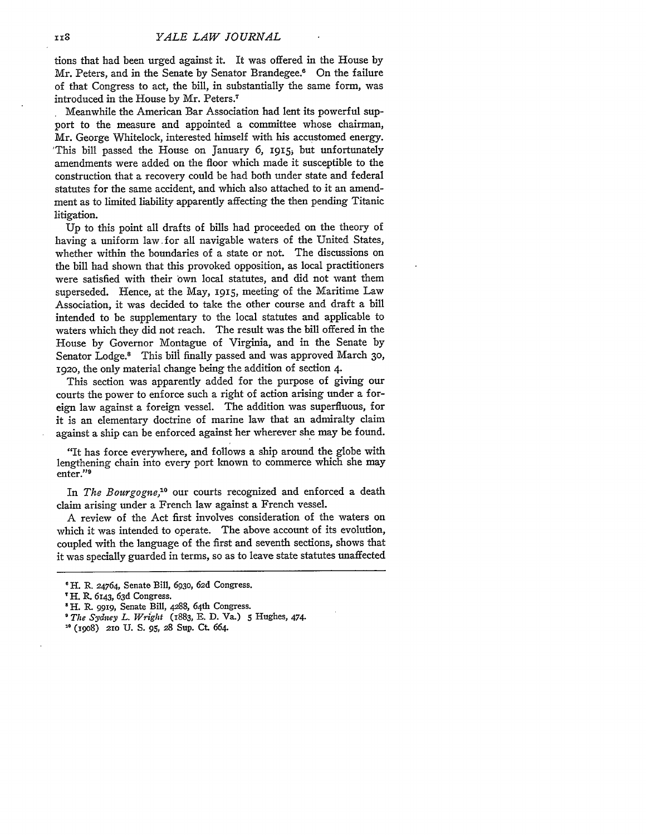tions that had been urged against it. It was offered in the House by Mr. Peters, and in the Senate by Senator Brandegee.<sup>6</sup> On the failure of that Congress to act, the bill, in substantially the same form, was introduced in the House by Mr. Peters.7

Meanwhile the American Bar Association had lent its powerful support to the measure and appointed a committee whose chairman, Mr. George Whitelock, interested himself with his accustomed energy. This bill passed the House on January 6, 1915; but unfortunately amendments were added on the floor which made it susceptible to the construction that a recovery could be had both under state and federal statutes for the same accident, and which also attached to it an amendment as to limited liability apparently affecting the then pending Titanic litigation.

Up to this point all drafts of bills had proceeded on the theory of having a uniform law for all navigable waters of the United States, whether within the boundaries of a state or not. The discussions on the bill had shown that this provoked opposition, as local practitioners were satisfied with their own local statutes, and did not want them superseded. Hence, at the May, 1915, meeting of the Maritime Law Association, it was decided to take the other course and draft a bill intended to be supplementary to the local statutes and applicable to waters which they did not reach. The result was the bill offered in the House by Governor Montague of Virginia, and in the Senate by Senator Lodge.8 This bill finally passed and was approved March **30, 192o,** the only material change being the addition of section 4.

This section was apparently added for the purpose of giving our courts the power to enforce such a right of action arising under a foreign law against a foreign vessel. The addition was superfluous, for it is an elementary doctrine of marine law that an admiralty claim against a ship can be enforced against her wherever she may be found.

"It has force everywhere, and follows a ship around the globe with lengthening chain into every port known to commerce which she may enter."<sup>9</sup>

In *The Bourgogne,'9* our courts recognized and enforced a death claim arising under a French law against a French vessel.

A review of the Act first involves consideration of the waters on which it was intended to operate. The above account of its evolution, coupled with the language of the first and seventh sections, shows that it was specially guarded in terms, so as to leave state statutes unaffected

- *'The Sydney L. Wright* (1883, E. D. Va.) **5** Hughes, 474.
- **10** (igo8) **21o U. S. 95, 28** Sup. Ct. 664.

<sup>&#</sup>x27;H. R. 24764, Senate Bill, 693o, 62d Congress.

**I** H. R. 6143, 63d Congress.

<sup>&</sup>lt;sup>\*</sup> H. R. 9919, Senate Bill, 4288, 64th Congress.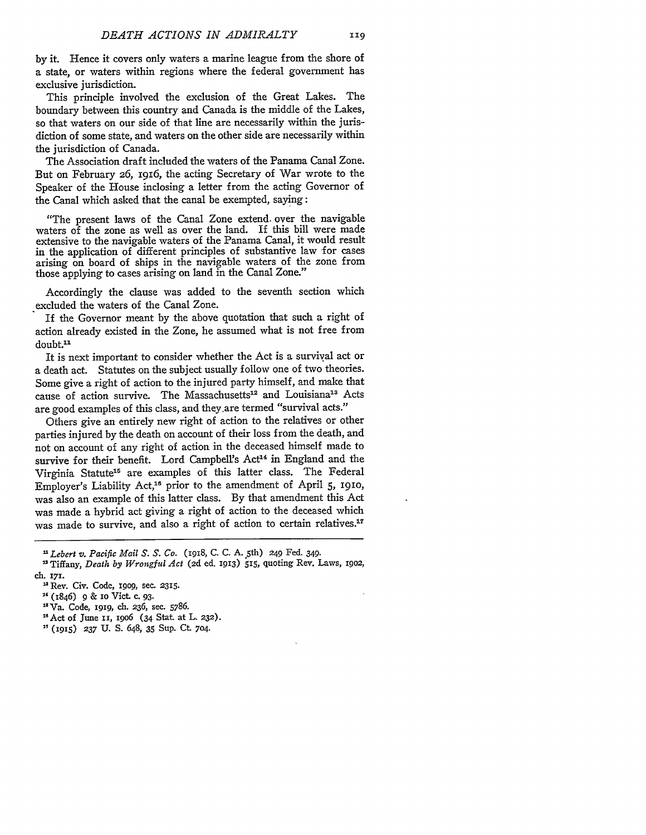119

by it. Hence it covers only waters a marine league from the shore of a state, or waters within regions where the federal government has exclusive jurisdiction.

This principle involved the exclusion of the Great Lakes. The boundary between this country and Canada is the middle of the Lakes, so that waters on our side of that line are necessarily within the jurisdiction of some state, and waters on the other side are necessarily within the jurisdiction of Canada.

The Association draft included the waters of the Panama Canal Zone. But on February *26,* 1916, the acting Secretary of War wrote to the Speaker of the House inclosing a letter from the acting Governor of the Canal which asked that the canal be exempted, saying:

"The present laws of the Canal Zone extend. over the navigable waters of the zone as well as over the land. If this bill were made extensive to the navigable waters of the Panama Canal, it would result in the application of different principles of substantive law for cases arising on board of ships in the navigable waters of the zone from those applying to cases arising on land in the Canal Zone."

Accordingly the clause was added to the seventh section which excluded the waters of the Canal Zone.

If the Governor meant by the above quotation that such a right of action already existed in the Zone, he assumed what is not free from doubt.11

It is next important to consider whether the Act is a survival act or a death act. Statutes on the subject usually follow one of two theories. Some give a right of action to the injured party himself, and make that cause of action survive. The Massachusetts<sup>12</sup> and Louisiana<sup>13</sup> Acts are good examples of this class, and they.are termed "survival acts."

Others give an entirely new right of action to the relatives or other parties injured by the death on account of their loss from the death, and not on account of any right of action in the deceased himself made to survive for their benefit. Lord Campbell's Act<sup>14</sup> in England and the Virginia Statute'5 are examples of this latter class. The Federal Employer's Liability Act,<sup>16</sup> prior to the amendment of April 5, 1910, was also an example of this latter class. By that amendment this Act was made a hybrid act giving a right of action to the deceased which was made to survive, and also a right of action to certain relatives.<sup>17</sup>

*<sup>&</sup>quot; Lebert v. Pacific Mail S. S. Co.* (1918, **C. C. A.** .th) 249 Fed. 349.

<sup>&</sup>quot;Tiffany, *Death by Wrongful Act* (2d ed. **1913)** 515, quoting Rev. Laws, 19o2, ch. 171.

<sup>&</sup>quot;Rev. Civ. Code, **i9og,** see. **2315.**

**<sup>&</sup>quot;** (1846) **9** & **1O** Vict. **c.** 93.

<sup>&</sup>quot;'Va. Code, i9ig, ch. 236, sec. 5786.

<sup>&</sup>quot;Act of June ii, i9o6 (34 Stat at L. **232).**

**S(9,5) 237** *U.* S. 648, 35 Sup. Ct 704.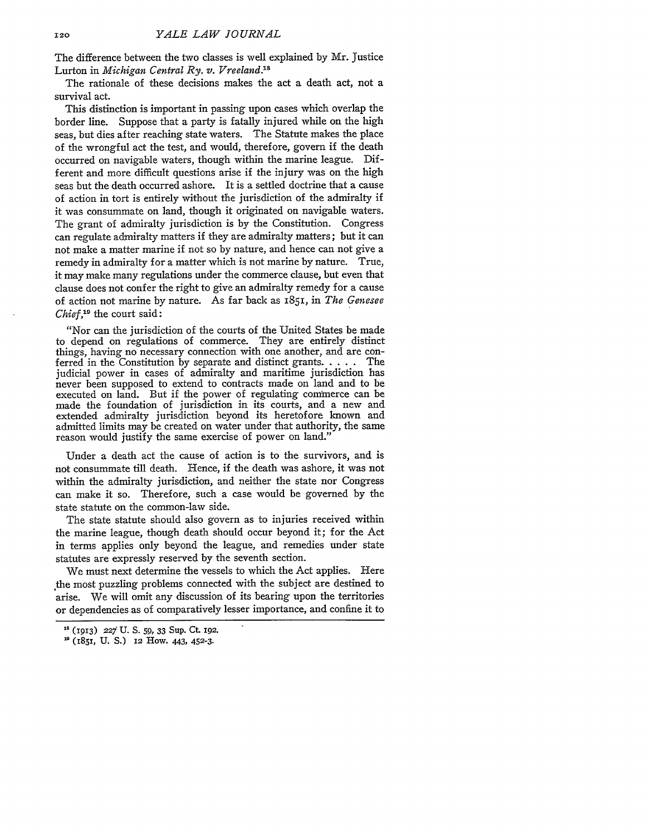The difference between the two classes is well explained by Mr. Justice Lurton in *Michigan Central Ry. v. Vreeland.'8*

The rationale of these decisions makes the act a death act, not a survival act.

This distinction is important in passing upon cases which overlap the border line. Suppose that a party is fatally injured while on the high seas, but dies after reaching state waters. The Statute makes the place of the wrongful act the test, and would, therefore, govern if the death occurred on navigable waters, though within the marine league. Different and more difficult questions arise if the injury was on the high seas but the death occurred ashore. It is a settled doctrine that a cause of action in tort is entirely without the jurisdiction of the admiralty if it was consummate on land, though it originated on navigable waters. The grant of admiralty jurisdiction is by the Constitution. Congress can regulate admiralty matters if they are admiralty matters; but it can not make a matter marine if not so by nature, and hence can not give a remedy in admiralty for a matter which is not marine by nature. True, it may make many regulations under the commerce clause, but even that clause does not confer the right to give an admiralty remedy for a cause of action not marine by nature. As far back as 1851, in *The Genesee Chief,19* the court said:

"Nor can the jurisdiction of the courts of the United States be made to depend on regulations of commerce. They are entirely distinct things, having no necessary connection with one another, and are conferred in the Constitution by separate and distinct grants.  $\dots$ . The judicial power in cases of admiralty and maritime jurisdiction has never been supposed to extend to contracts made on land and to be executed on land. But if the power of regulating commerce can be made the foundation of jurisdiction in its courts, and a new and extended admiralty jurisdiction beyond its heretofore known and admitted limits may be created on water under that authority, the same reason would justify the same exercise of power on land."

Under a death act the cause of action is to the survivors, and is not consummate till death. Hence, if the death was ashore, it was not within the admiralty jurisdiction, and neither the state nor Congress can make it so. Therefore, such a case would be governed by the state statute on the common-law side.

The state statute should also govern as to injuries received within the marine league, though death should occur beyond it; for the Act in terms applies only beyond the league, and remedies under state statutes are expressly reserved by the seventh section.

We must next determine the vessels to which the Act applies. Here .the most puzzling problems connected with the subject are destined to arise. We will omit any discussion of its bearing upon the territories or dependencies as of comparatively lesser importance, and confine it to

**<sup>18</sup>**(IM13) *227* **U. S.** 59, **33 Sup.** Ct. **192. <sup>19</sup>**(i85r, U. **S.)** 12 How. 443, 452-3.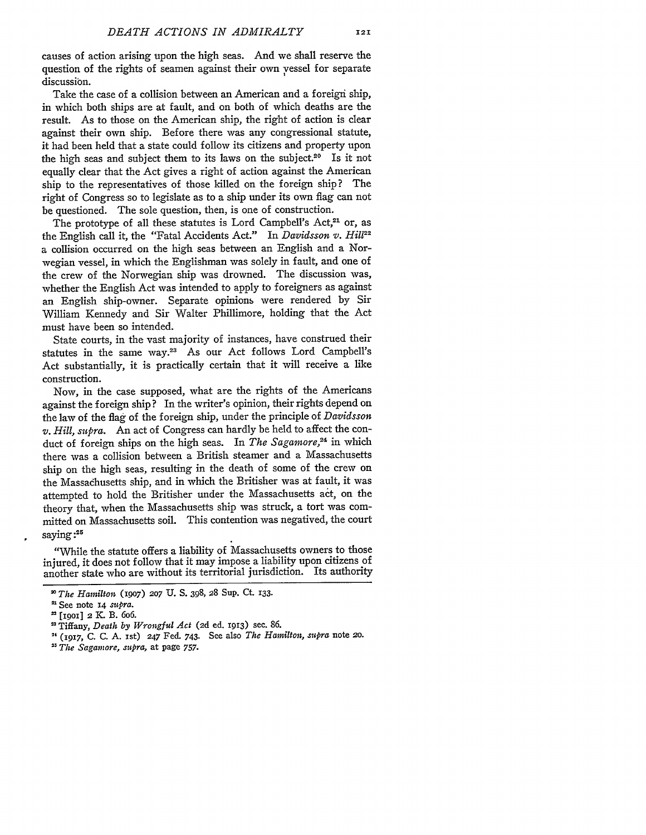causes of action arising upon the high seas. And we shall reserve the question of the rights of seamen against their own vessel for separate discussion.

Take the case of a collision between an American and a foreign ship, in which both ships are at fault, and on both of which deaths are the result. As to those on the American ship, the right of action is clear against their own ship. Before there was any congressional statute, it had been held that a state could follow its citizens and property upon the high seas and subject them to its laws on the subject.<sup>20</sup> Is it not equally clear that the Act gives a right of action against the American ship to the representatives of those killed on the foreign ship? The right of Congress so to legislate as to a ship under its own flag can not be questioned. The sole question, then, is one of construction.

The prototype of all these statutes is Lord Campbell's Act,<sup>21</sup> or, as the English call it, the "Fatal Accidents Act." In *Davidsson v. Hill22* a collision occurred on the high seas between an English and a Norwegian vessel, in which the Englishman was solely in fault, and one of the crew of the Norwegian ship was drowned. The discussion was, whether the English Act was intended to apply to foreigners as against an English ship-owner. Separate opinions were rendered by Sir William Kennedy and Sir Walter Phillimore, holding that the Act must have been so intended.

State courts, in the vast majority of instances, have construed their statutes in the same way.<sup>23</sup> As our Act follows Lord Campbell's Act substantially, it is practically certain that it will receive a like construction.

Now, in the case supposed, what are the rights of the Americans against the foreign ship? In the writer's opinion, their rights depend on the law of the flag of the foreign ship, under the principle of *Davidsson v. Hill,* supra. An act of Congress can hardly be held to affect the conduct of foreign ships on the high seas. In *The Sagamore*,<sup>24</sup> in which there was a collision between a British steamer and a Massachusetts ship on the high seas, resulting in the death of some of the crew on the Massachusetts ship, and in which the Britisher was at fault, it was attempted to hold the Britisher under the Massachusetts act, on the theory that, when the Massachusetts ship was struck, a tort was committed on Massachusetts soil. This contention was negatived, the court saving:<sup>25</sup>

"While the statute offers a liability of Massachusetts owners to those injured, it does not follow that it may impose a liability upon citizens of another state who are without its territorial jurisdiction. Its authority

*The Hamilton* **(1907)** *207* **U. S.** *398, 28* Sup. Ct. 133.

**t'** See note 14 *supra.*

<sup>[</sup>i9ol] 2 *K.* B. 6o6.

Tiffany, *Death by Wrongful Act* (2d ed. 1913) sec. **86.**

**<sup>24</sup>**(1917, C. C. A. Ist) 247 Fed. 743. See also *The Hamilton, supra* note **20.**

*<sup>&</sup>quot;The Sagamore, supra,* at page *757.*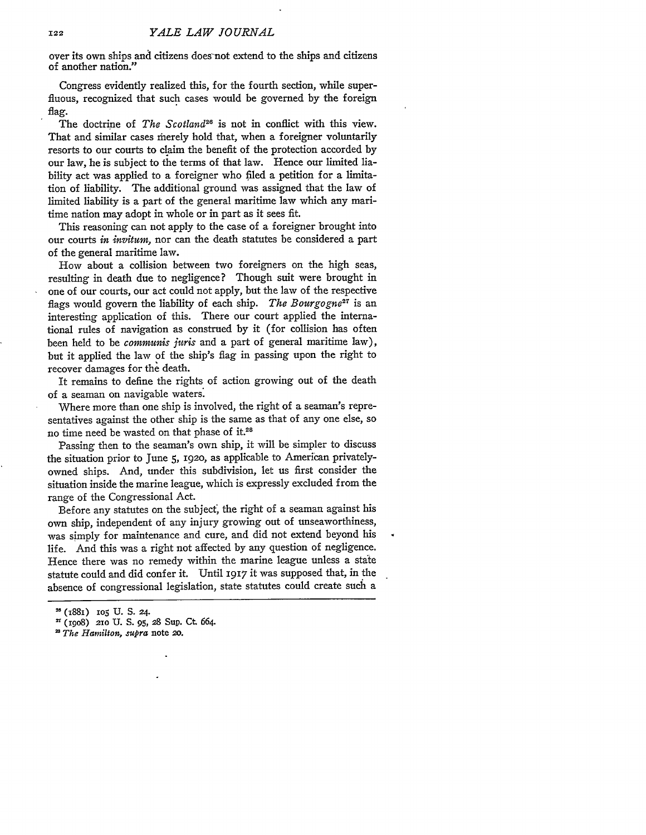over its own ships and citizens does-not extend to the ships and citizens of another nation."

Congress evidently realized this, for the fourth section, while superfluous, recognized that such cases would be governed by the foreign flag.

The doctrine of *The Scotland26* is not in conflict with this view. That and similar cases merely hold that, when a foreigner voluntarily resorts to our courts to claim the benefit of the protection accorded by our law, he is subject to the terms of that law. Hence our limited liability act was applied to a foreigner who filed a petition for a limitation of liability. The additional ground was assigned that the law of limited liability is a part of the general maritime law which any maritime nation may adopt in whole or in part as it sees fit.

This reasoning can not apply to the case of a foreigner brought into our courts *in invitum,* nor can the death statutes be considered a part of the general maritime law.

How about a collision between two foreigners on the high seas, resulting in death due to negligence? Though suit were brought in one of our courts, our act could not apply, but the law of the respective flags would govern the liability of each ship. *The Bourgogne<sup>27</sup>* is an interesting application of this. There our court applied the international rules of navigation as construed by it (for collision has often been held to be *communis juris* and a part of general maritime law), but it applied the law of the ship's flag in passing upon the right to recover damages for the death.

It remains to define the rights of action growing out of the death of a seaman on navigable waters.

Where more than one ship is involved, the right of a seaman's representatives against the other ship is the same as that of any one else, so no time need be wasted on that phase of it.28

Passing then to the seaman's own ship, it will be simpler to discuss the situation prior to June 5, 1920, as applicable to American privatelyowned ships. And, under this subdivision, let us first consider the situation inside the marine league, which is expressly excluded from the range of the Congressional Act.

Before any statutes on the subject, the right of a seaman against his own ship, independent of any injury growing out of unseaworthiness, was simply for maintenance and cure, and did not extend beyond his life. And this was a right not affected by any question of negligence. Hence there was no remedy within the marine league unless a state statute could and did confer it. Until **1917** it was supposed that, in the absence of congressional legislation, state statutes could create such a

*2 The Hamilton, supra* note **20.**

122

**<sup>(1881)</sup> o5 U.** S. **24.**

<sup>(</sup>i9o8) **:2o** U. **S.** 95, 28 Sup. Ct 664.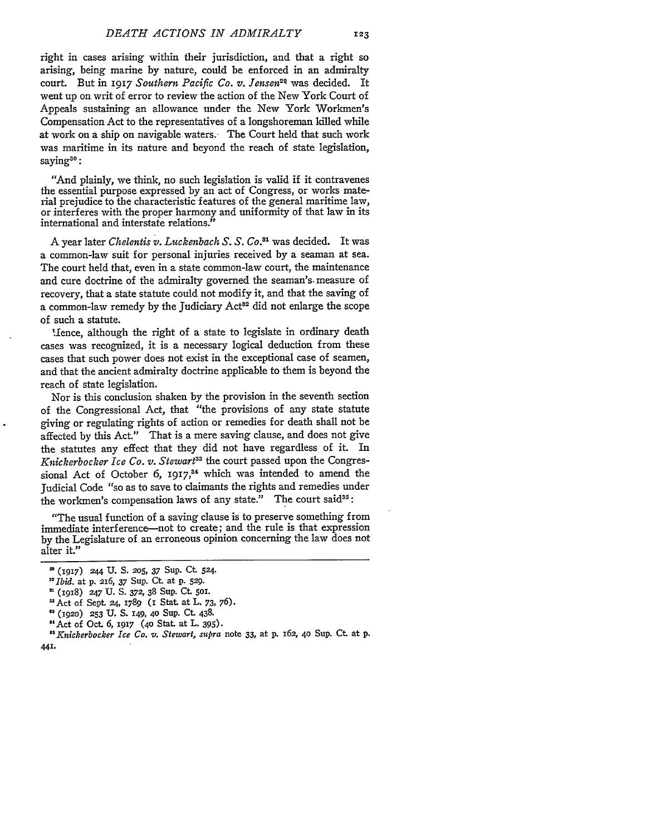123

right in cases arising within their jurisdiction, and that a right so arising, being marine by nature, could be enforced in an admiralty court. But in 1917 *Southern Pacific Co. v. Jensen2Q* was decided. It went up on writ of error to review the action of the New York Court of Appeals sustaining an allowance under the New York Workmen's Compensation Act to the representatives of a longshoreman killed while at work on a ship on navigable waters. The Court held that such work was maritime in its nature and beyond the reach of state legislation, saying<sup>30</sup>:

"And plainly, we think, no such legislation is valid if it contravenes the essential purpose expressed by an act of Congress, or works material prejudice to the characteristic features of the general maritime law, or interferes with the proper harmony and uniformity of that law in its international and interstate relations.<sup>2</sup>

**A** year later *Chelentis v. Luckenbach S. S. Co.\$-* was decided. It was a common-law suit for personal injuries received by a seaman at sea. The court held that, even in a state common-law court, the maintenance and cure doctrine of the admiralty governed the seaman's, measure of recovery, that a state statute could not modify it, and that the saving of a common-law remedy by the Judiciary Act<sup>82</sup> did not enlarge the scope of such a statute.

Hence, although the right of a state to legislate in ordinary death cases was recognized, it is a necessary logical deduction from these cases that such power does not exist in the exceptional case of seamen, and that the ancient admiralty doctrine applicable to them is beyond the reach of state legislation.

Nor is this conclusion shaken by the provision in the seventh section of the Congressional Act, that "the provisions of any state statute giving or regulating rights of action or remedies for death shall not be affected by this Act." That is a mere saving clause, and does not give the statutes any effect that they did not have regardless of it. In *Knickerbocker Ice Co. v. Stewart33* the court passed upon the Congressional Act of October 6, 1917, $34$  which was intended to amend the Judicial Code "so as to save to claimants the rights and remedies under the workmen's compensation laws of any state." The court said<sup>35</sup>:

"The usual function of a saving clause is to preserve something from immediate interference-not to create; and the rule is that expression by the Legislature of an erroneous opinion concerning the law does not alter it."

<sup>11</sup> (1918) 247 U. S. 372, 38 Sup. Ct. 501.

*"Knickerbocker Ice Co. v. Stewart, supra* note **33,** at **p.** 162, **40** Sup. Ct at p.441.

**<sup>&</sup>quot; (1917)** 244 **U. S. 205, 37** Sup. Ct 524.

*<sup>&</sup>quot;Ibid.* at **p.** 216, *37* Sup. Ct at p. **529.**

<sup>&</sup>quot;Act of Sept. 24, 1789 (1 Stat at L. *73, 76).*

<sup>(1920)</sup> **253 U. S.** 149, **40** Sup. Ct 438.

<sup>&</sup>quot;Act of Oct *6, 1917* **(40** Stat at L. 395).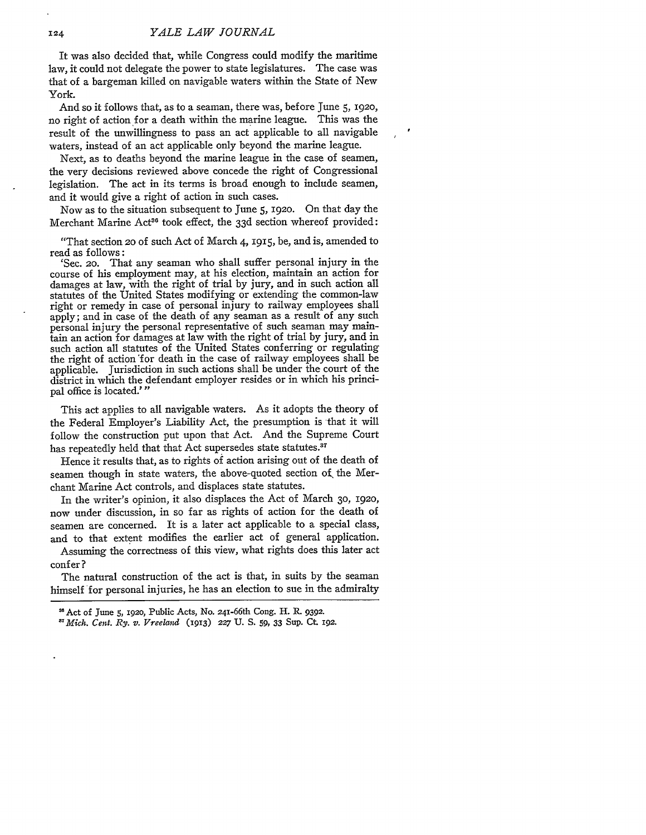It was also decided that, while Congress could modify the maritime law, it could not delegate the power to state legislatures. The case was that of a bargeman killed on navigable waters within the State of New York.

And so it follows that, as to a seaman, there was, before June *5,* **1920,** no right of action for a death within the marine league. This was the result of the unwillingness to pass an act applicable to all navigable waters, instead of an act applicable only beyond the marine league.

Next, as to deaths beyond the marine league in the case of seamen, the very decisions reviewed above concede the right of Congressional legislation. The act in its terms is broad enough to include seamen, and it would give a right of action in such cases.

Now as to the situation subsequent to June *5,* **1920.** On that day the Merchant Marine Act<sup>36</sup> took effect, the 33d section whereof provided:

"That section **20** of such Act of March 4, 1915, be, and is, amended to read as follows:

'Sec. 2o. That any seaman who shall suffer personal injury in the course of his employment may, at his election, maintain an action for damages at law, with the right of trial by jury, and in such action all statutes of the United States modifying or extending the common-law right or remedy in case of personal injury to railway employees shall apply; and in case of the death of any seaman as a result of any such personal injury the personal representative of such seaman may maintain an action for damages at law with the right of trial by jury, and in such action all statutes of the United States conferring or regulating the right of action for death in the case of railway employees shall be applicable. Jurisdiction in such actions shall be under the court of the district in which the defendant employer resides or in which his principal office is located.'"

This act applies to all navigable waters. As it adopts the theory of the Federal Employer's Liability Act, the presumption is that it will follow the construction put upon that Act. And the Supreme Court has repeatedly held that that Act supersedes state statutes.<sup>37</sup>

Hence it results that, as to rights of action arising out of the death of seamen though in state waters, the above-quoted section of the Merchant Marine Act controls, and displaces state statutes.

In the writer's opinion, it also displaces the Act of March **30, 1920,** now under discussion, in so far as rights of action for the death of seamen are concerned. It is a later act applicable to a special class, and to that extent modifies the earlier act of general application.

Assuming the correctness of this view, what rights does this later act confer?

The natural construction of the act is that, in suits by the seaman himself for personal injuries, he has an election to sue in the admiralty

Act of June 5, **1920,** Public Acts, No. 24i-66th Cong. H. R. **9392.** *<sup>6</sup> <sup>7</sup>*

*Mich. Cent. Ry. v. Vreeland* **(1913) 227 U. S. 59,** 33 Sup. Ct **192.**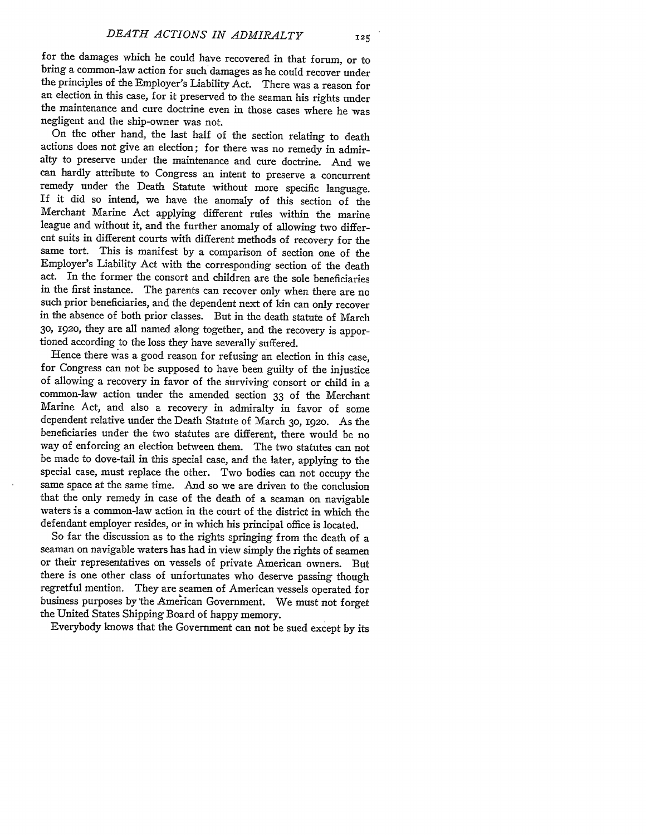for the damages which he could have recovered in that forum, or to bring a common-law action for such damages as he could recover under the principles of the Employer's Liability Act. There was a reason for an election in this case, for it preserved to the seaman his rights under the maintenance and cure doctrine even in those cases where he was negligent and the ship-owner was not.

On the other hand, the last half of the section relating to death actions does not give an election; for there was no remedy in admiralty to preserve under the maintenance and cure doctrine. And we can hardly attribute to Congress an intent to preserve a concurrent remedy under the Death Statute without more specific language. If it did so intend, we have the anomaly of this section of the Merchant Marine Act applying different rules within the marine league and without it, and the further anomaly of allowing two different suits in different courts with different methods of recovery for the same tort. This is manifest by a comparison of section one of the Employer's Liability Act with the corresponding section of the death act. In the former the consort and children are the sole beneficiaries in the first instance. The parents can recover only when there are no such prior beneficiaries, and the dependent next of kin can only recover in the absence of both prior classes. But in the death statute of March **30, 192o,** they are all named along together, and the recovery is apportioned according to the loss they have severally suffered.

Hence there was a good reason for refusing an election in this case, for Congress can not be supposed to have been guilty of the injustice of allowing a recovery in favor of the surviving consort or child in a common-law action under the amended section 33 of the Merchant Marine Act, and also a recovery in admiralty in favor of some dependent relative under the Death Statute of March **30, 192o.** As the beneficiaries under the two statutes are different, there would be no way of enforcing an election between them. The two statutes can not be made to dove-tail in this special case, and the later, applying to the special case, must replace the other. Two bodies can not occupy the same space at the same time. And so we are driven to the conclusion that the only remedy in case of the death of a seaman on navigable waters is a common-law action in the court of the district in which the defendant employer resides, or in which his principal office is located.

So far the discussion as to the rights springing from the death of a seaman on navigable waters has had in view simply the rights of seamen or their representatives on vessels of private American owners. But there is one other class of unfortunates who deserve passing though regretful mention. They are seamen of American vessels operated for business purposes by the American Government. We must not forget the United States Shipping Board of happy memory.

Everybody knows that the Government can not be sued except by its